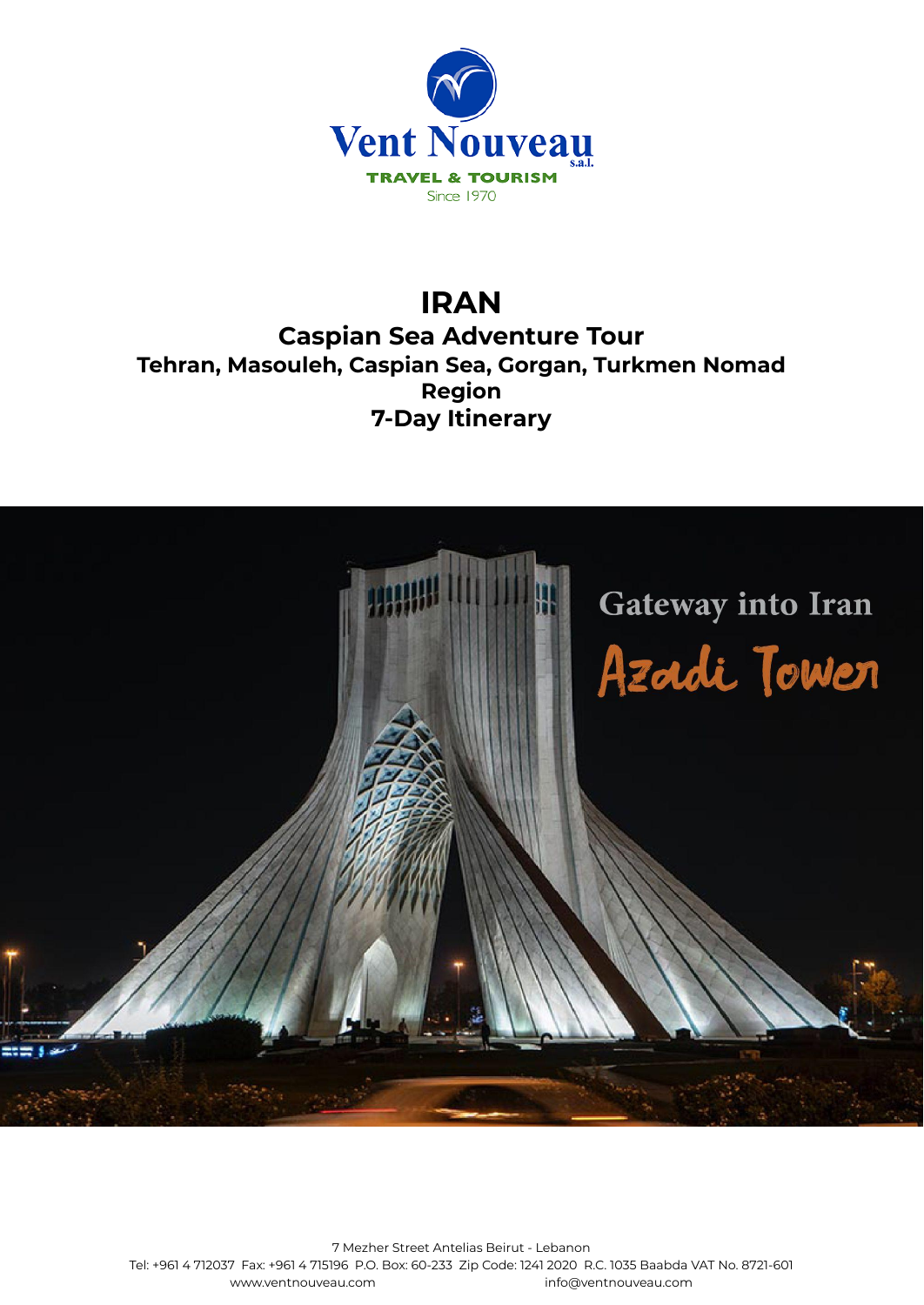

# **IRAN**

**Caspian Sea Adventure Tour Tehran, Masouleh, Caspian Sea, Gorgan, Turkmen Nomad Region 7-Day Itinerary**